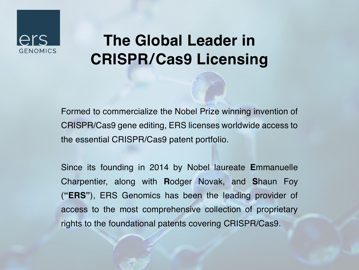## GENOMICS

### **The Global Leader in CRISPR/Cas9 Licensing**

Formed to commercialize the Nobel Prize winning invention of CRISPR/Cas9 gene editing, ERS licenses worldwide access to the essential CRISPR/Cas9 patent portfolio.

Since its founding in 2014 by Nobel laureate **E**mmanuelle Charpentier, along with **R**odger Novak, and **S**haun Foy (**"ERS"**), ERS Genomics has been the leading provider of access to the most comprehensive collection of proprietary rights to the foundational patents covering CRISPR/Cas9.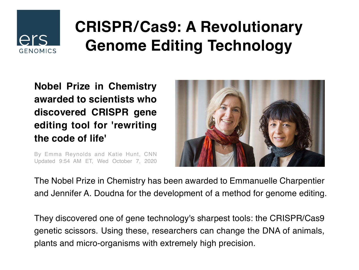

### **CRISPR/Cas9: A Revolutionary Genome Editing Technology**

**Nobel Prize in Chemistry awarded to scientists who discovered CRISPR gene editing tool for 'rewriting the code of life'** 

By Emma Reynolds and Katie Hunt, CNN Updated 9:54 AM ET, Wed October 7, 2020



The Nobel Prize in Chemistry has been awarded to Emmanuelle Charpentier and Jennifer A. Doudna for the development of a method for genome editing.

They discovered one of gene technology's sharpest tools: the CRISPR/Cas9 genetic scissors. Using these, researchers can change the DNA of animals, plants and micro-organisms with extremely high precision.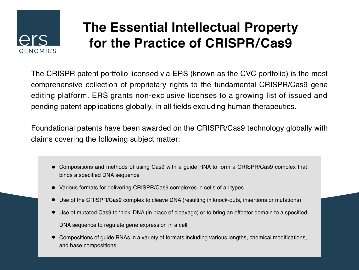# **GENOMICS**

### **The Essential Intellectual Property for the Practice of CRISPR/Cas9**

The CRISPR patent portfolio licensed via ERS (known as the CVC portfolio) is the most comprehensive collection of proprietary rights to the fundamental CRISPR/Cas9 gene editing platform. ERS grants non-exclusive licenses to a growing list of issued and pending patent applications globally, in all fields excluding human therapeutics.

Foundational patents have been awarded on the CRISPR/Cas9 technology globally with claims covering the following subject matter:

- Compositions and methods of using Cas9 with a guide RNA to form a CRISPR/Cas9 complex that binds a specified DNA sequence
- Various formats for delivering CRISPR/Cas9 complexes in cells of all types
- Use of the CRISPR/Cas9 complex to cleave DNA (resulting in knock-outs, insertions or mutations)
- Use of mutated Cas9 to 'nick' DNA (in place of cleavage) or to bring an effector domain to a specified DNA sequence to regulate gene expression in a cell
- Compositions of guide RNAs in a variety of formats including various lengths, chemical modifications, and base compositions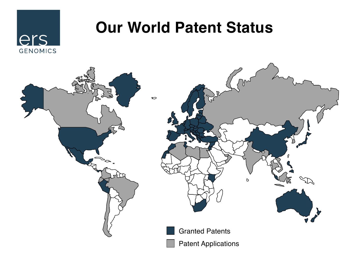### ers **GENOMICS**

### **Our World Patent Status**

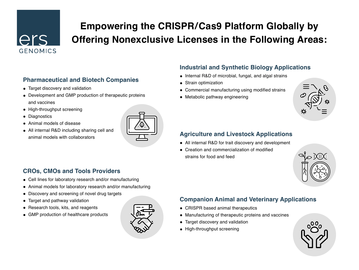### $\bigcap$ r $\bigcap$ GENOMICS

### **Empowering the CRISPR/Cas9 Platform Globally by Offering Nonexclusive Licenses in the Following Areas:**

#### **Pharmaceutical and Biotech Companies**

- Target discovery and validation •
- Development and GMP production of therapeutic proteins and vaccines
- High-throughput screening
- Diagnostics
- Animal models of disease •
- All internal R&D including sharing cell and animal models with collaborators



#### **Industrial and Synthetic Biology Applications**

- Internal R&D of microbial, fungal, and algal strains
- Strain optimization
- Commercial manufacturing using modified strains •
- Metabolic pathway engineering •



#### **Agriculture and Livestock Applications**

- All internal R&D for trait discovery and development •
- Creation and commercialization of modified strains for food and feed



#### **CROs, CMOs and Tools Providers**

- Cell lines for laboratory research and/or manufacturing •
- Animal models for laboratory research and/or manufacturing •
- Discovery and screening of novel drug targets •
- Target and pathway validation •
- Research tools, kits, and reagents
- GMP production of healthcare products •



#### **Companion Animal and Veterinary Applications**

- CRISPR based animal therapeutics •
- Manufacturing of therapeutic proteins and vaccines •
- Target discovery and validation •
- High-throughput screening

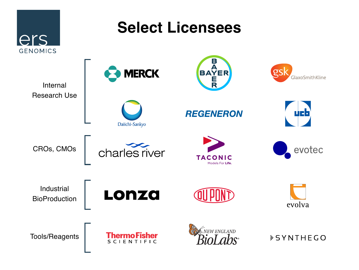